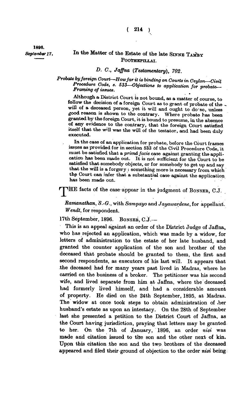**1896.** 

## September 17. In the Matter of the Estate of the late SINNE TAMBY POOTHEPILLAI.

## *D. C, Jaffna (Testamentary), 702.*

*Probate by foreign Court—How far it is binding on Courts in Ceylon—Civil Procedure Code, s. 533—Objections to application for probate— Framing of issues.* 

**Although a District Court is not bound, as a matter of course, to follow the decision of a foreign Court as to grant of probate of the will of a deceased person, yet it will and ought to do-so, unless good reason is shown to the contrary. Where probate has been granted by the foreign Court, it is bound to presume, in the absence of any evidence to the contrary, that the foreign Court satisfied itself that the w'll was the will of the testator, and had been duly executed.** 

**In the case of an application for probate, before the Court frames issues as provided for in section 533 of the Civil Procedure Code, it must be satisfied that a** *primd facie* **case against granting the application has been made out. It is not sufficient for the Court to be satisfied that somebody objects, or for somebody to get up and say that the will is a forgery : something more is necessary from which the Court can infer that a substantial case-against the application has been made out.** 

**THE facts of the case appear in the judgment of BONSER, C.J.** 

*Ramanathan, S.-O.,* **with** *Sampayo* **and** *Jayawardene,* **for appellant.**  *Wendt,* **for respondent.** 

**17th September, 1896. BONSEB, C.J.—** 

**This is an appeal against an order of the District Judge of Jaffna, who has rejected an application, which was made by a widow, for letters of administration to the estate of her late husband, and granted the counter application of the son and brother of the deceased that probate should be granted to them, the first and second respondents, as executors of his last will. It appears that the deceased had for many years past lived in Madras, where he carried on the business of a broker. The petitioner was his second wife, and lived separate from him at Jaffna, where the deceased had formerly lived himself, and had a considerable amount of property. He died on the 24th September, 1895, at Madras. The widow at once took steps to obtain administration of .her husband's estate as upon an intestacy. On the 28th of September last she presented a petition to the District Court of Jaffna, as the Court having jurisdiction, praying that letters may be granted to her. On the 7th of January, 1896, an order** *nisi* **was made and citation issued to the son and the other next of kin. Upon this citation the son and the two brothers of the deceased appeared and filed their ground of objection to the order** *nisi* **being**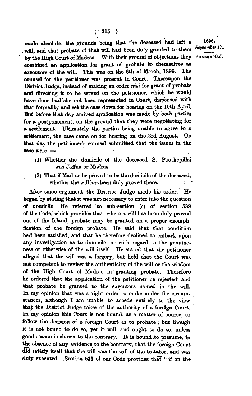made absolute, the grounds being that the deceased had left a 1896. **will, and that probate of that will had been duly granted to them** by the High Court of Madras. With their ground of objections they Bonsen, C.J. **combined an application for grant of probate to themselves as executors of the will. This was on the 6th of March, 1896. The counsel for the petitioner was present in Court. Thereupon the District Judge, instead of making an order** *nisi* **for grant of probate and directing it to be served on the petitioner, which he would have done had 'she not been represented in Court, dispensed with that formality and set the case down for hearing on the 10th April. But before that day arrived application was made by both parties for a postponement, on the ground that they were negotiating for a settlement. Ultimately the parties being unable to agree to a settlement, the case came on for hearing on the 3rd August. On that day the petitioner's counsel submitted that the issues in the oase were:—** 

- **(1) Whether the domicile of the deceased S. Poothepillai was Jaffna or Madras.**
- **(2) That if Madras be proved to be the domicile of the deceased, whether the will has been duly proved there.**

**After some argument the District Judge made his order. He began by stating that it was not necessary to enter into the question of domicile. He referred to sub-section (c) of section 539**  of the Code, which provides that, where a will has been duly proved **out of the Island, probate may be granted on a proper exemplification of the foreign probate. He said that that condition had been satisfied, and that he therefore declined to embark upon**  any investigation as to domicile, or with regard to the genuine**ness or otherwise of the will'itself. He stated that the petitioner alleged that the will was a forgery, but held that the Court was not competent to review the authenticity of the will or the wisdom of the High Court of Madras in granting probate. Therefore he ordered that the application of the petitioner be rejected, and that probate be granted to the executors named in the will.. In my opinion that was a right order to make under the circumstances, although I am unable to accede entirely to the view that the District Judge takes of the authority of a foreign Court. In my opinion this Court is not bound, as a matter of course; to follow the decision of a foreign Court as to probate; but though . it is not bound to do so, yet it will, and ought to do so, unless good reason is shown to the contrary. It is bound .to presume, in the absence of any evidence to the contrary, that the foreign Court did satisfy itself that the will was the will of the testator, and was duly executed. Section 533 of our Code provides that " if on the** 

*<sup>s</sup>\*pi«mbt!r17'*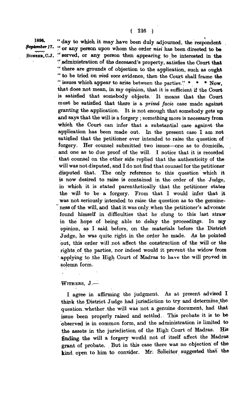1896. " day to which it may have been duly adjourned, the respondent **September 17.** " or our person upon where the order with a health of the set  $\beta$ <sup>*epiember 17.* " or any person upon whom the order *nisi* has been directed to be</sup> BONSER, C.J. "served, or any person then appearing to be interested in the **" administration of the deceased's property, satisfies the Court that " there are grounds of objection to the application, such as ought " to be tried on** *viva voce* **evidence, then the Court shall frame the " issues which appear to arise between the parties." \* \* \* Now, that does not mean, in my opinion, that it is sufficient if the Court is satisfied that somebody objects. It means that the Court must be satisfied that there is a** *prima facie* **case made against granting the application. It is not enough that somebody gets up and says that the will is a forgery ; something more is necessary from which the Court can infer that a substantial case against the application has been made out. In the present case I am not satisfied that the petitioner ever intended to raise the question of ' forgery. Her counsel submitted two issues—one as to domicile, and one as to due proof of the will. I notice that it is recorded that counsel on the other side replied that the authenticity of the will was not disputed, and I do not find that counsel for the petitioner disputed that. The only reference to this question which it is now desired to raise is contained in the order of the Judge, in which it is stated parenthetically that the petitioner states the will to be a forgery. From that I would infer that it was not seriously intended to raise the question as to the genuineness of the will, and that it was only when the petitioner's advocate found himself in difficulties that he olung to this last straw in the hope of being able to delay the proceedings. In my opinion, as I said before, on the materials before the District Judge, he was quite right in the order he made. As he pointed put, this order will not affect the construction of the will or the**  rights of the parties, nor indeed would it prevent the widow from **applying to the High Court of Madras to have the will proved in solemn form.** 

## **WITHERS , J.—**

**I agree in afiirming the judgment. As at present advised I think the District Judge had jurisdiction to try and determine,the question.whether the will was not a genuine document, had that issue been properly raised and settled. This probate it is to be observed is in common form, and the administration is limited to the assets in the jurisdiction of the High Court of Madras. His finding, the will a forgery would not of itself affect the Madras grant of probate. . But in this case there was no objection of the kind open to him to consider. Mr; Solicitor suggested that the**